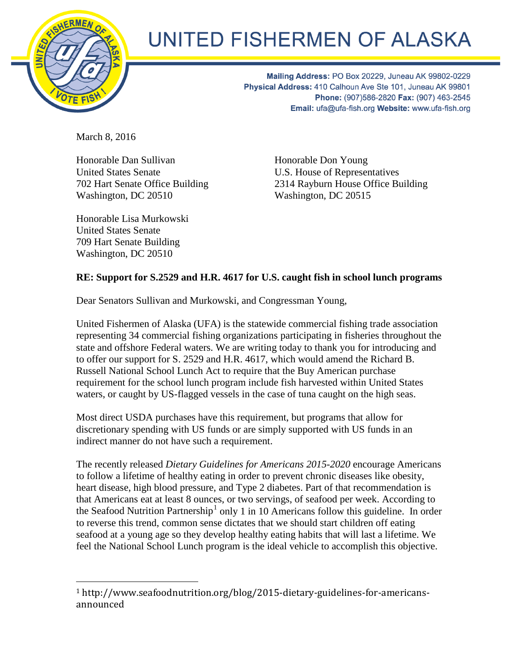

## UNITED FISHERMEN OF ALASKA

Mailing Address: PO Box 20229, Juneau AK 99802-0229 Physical Address: 410 Calhoun Ave Ste 101, Juneau AK 99801 Phone: (907)586-2820 Fax: (907) 463-2545 Email: ufa@ufa-fish.org Website: www.ufa-fish.org

March 8, 2016

Honorable Dan Sullivan United States Senate 702 Hart Senate Office Building Washington, DC 20510

Honorable Don Young U.S. House of Representatives 2314 Rayburn House Office Building Washington, DC 20515

Honorable Lisa Murkowski United States Senate 709 Hart Senate Building Washington, DC 20510

## **RE: Support for S.2529 and H.R. 4617 for U.S. caught fish in school lunch programs**

Dear Senators Sullivan and Murkowski, and Congressman Young,

United Fishermen of Alaska (UFA) is the statewide commercial fishing trade association representing 34 commercial fishing organizations participating in fisheries throughout the state and offshore Federal waters. We are writing today to thank you for introducing and to offer our support for S. 2529 and H.R. 4617, which would amend the Richard B. Russell National School Lunch Act to require that the Buy American purchase requirement for the school lunch program include fish harvested within United States waters, or caught by US-flagged vessels in the case of tuna caught on the high seas.

Most direct USDA purchases have this requirement, but programs that allow for discretionary spending with US funds or are simply supported with US funds in an indirect manner do not have such a requirement.

The recently released *Dietary Guidelines for Americans 2015-2020* encourage Americans to follow a lifetime of healthy eating in order to prevent chronic diseases like obesity, heart disease, high blood pressure, and Type 2 diabetes. Part of that recommendation is that Americans eat at least 8 ounces, or two servings, of seafood per week. According to the Seafood Nutrition Partnership<sup>[1](#page-0-0)</sup> only 1 in 10 Americans follow this guideline. In order to reverse this trend, common sense dictates that we should start children off eating seafood at a young age so they develop healthy eating habits that will last a lifetime. We feel the National School Lunch program is the ideal vehicle to accomplish this objective.

<span id="page-0-0"></span> <sup>1</sup> http://www.seafoodnutrition.org/blog/2015-dietary-guidelines-for-americansannounced